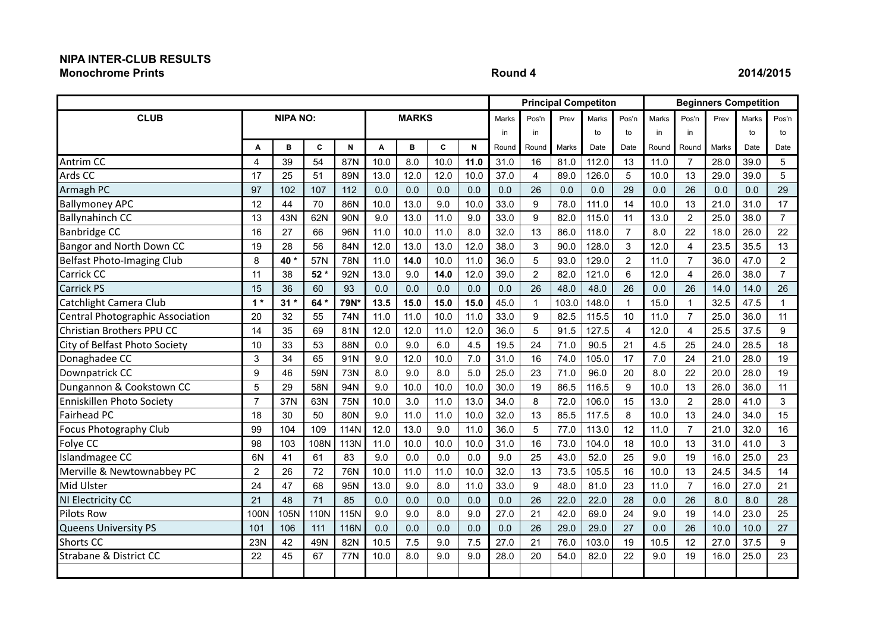## **NIPA INTER-CLUB RESULTS Monochrome Prints Round 4 2014/2015**

|                                   |                |                 |       |             |      |              |      |      |       | <b>Principal Competiton</b><br><b>Beginners Competition</b> |       |              |                |       |                |       |       |                |
|-----------------------------------|----------------|-----------------|-------|-------------|------|--------------|------|------|-------|-------------------------------------------------------------|-------|--------------|----------------|-------|----------------|-------|-------|----------------|
| <b>CLUB</b>                       |                | <b>NIPA NO:</b> |       |             |      | <b>MARKS</b> |      |      | Marks | Pos'n                                                       | Prev  | <b>Marks</b> | Pos'n          | Marks | Pos'n          | Prev  | Marks | Pos'n          |
|                                   |                |                 |       |             |      |              |      |      | in    | in                                                          |       | to           | to             | in    | in             |       | to    | to             |
|                                   | A              | в               | C     | N           | A    | B            | C    | N    | Round | Round                                                       | Marks | Date         | Date           | Round | Round          | Marks | Date  | Date           |
| Antrim CC                         | 4              | 39              | 54    | 87N         | 10.0 | 8.0          | 10.0 | 11.0 | 31.0  | 16                                                          | 81.0  | 112.0        | 13             | 11.0  | $\overline{7}$ | 28.0  | 39.0  | 5              |
| Ards CC                           | 17             | 25              | 51    | 89N         | 13.0 | 12.0         | 12.0 | 10.0 | 37.0  | 4                                                           | 89.0  | 126.0        | 5              | 10.0  | 13             | 29.0  | 39.0  | 5              |
| Armagh PC                         | 97             | 102             | 107   | 112         | 0.0  | 0.0          | 0.0  | 0.0  | 0.0   | 26                                                          | 0.0   | 0.0          | 29             | 0.0   | 26             | 0.0   | 0.0   | 29             |
| <b>Ballymoney APC</b>             | 12             | 44              | 70    | 86N         | 10.0 | 13.0         | 9.0  | 10.0 | 33.0  | 9                                                           | 78.0  | 111.0        | 14             | 10.0  | 13             | 21.0  | 31.0  | 17             |
| <b>Ballynahinch CC</b>            | 13             | 43N             | 62N   | 90N         | 9.0  | 13.0         | 11.0 | 9.0  | 33.0  | 9                                                           | 82.0  | 115.0        | 11             | 13.0  | $\overline{c}$ | 25.0  | 38.0  | $\overline{7}$ |
| <b>Banbridge CC</b>               | 16             | 27              | 66    | 96N         | 11.0 | 10.0         | 11.0 | 8.0  | 32.0  | 13                                                          | 86.0  | 118.0        | $\overline{7}$ | 8.0   | 22             | 18.0  | 26.0  | 22             |
| Bangor and North Down CC          | 19             | 28              | 56    | 84N         | 12.0 | 13.0         | 13.0 | 12.0 | 38.0  | 3                                                           | 90.0  | 128.0        | 3              | 12.0  | 4              | 23.5  | 35.5  | 13             |
| Belfast Photo-Imaging Club        | 8              | 40*             | 57N   | 78N         | 11.0 | 14.0         | 10.0 | 11.0 | 36.0  | 5                                                           | 93.0  | 129.0        | $\overline{2}$ | 11.0  | $\overline{7}$ | 36.0  | 47.0  | $\overline{2}$ |
| <b>Carrick CC</b>                 | 11             | 38              | $52*$ | 92N         | 13.0 | 9.0          | 14.0 | 12.0 | 39.0  | $\overline{2}$                                              | 82.0  | 121.0        | 6              | 12.0  | 4              | 26.0  | 38.0  | $\overline{7}$ |
| Carrick PS                        | 15             | 36              | 60    | 93          | 0.0  | 0.0          | 0.0  | 0.0  | 0.0   | 26                                                          | 48.0  | 48.0         | 26             | 0.0   | 26             | 14.0  | 14.0  | 26             |
| Catchlight Camera Club            | $1*$           | $31*$           | 64 *  | 79N*        | 13.5 | 15.0         | 15.0 | 15.0 | 45.0  | $\mathbf{1}$                                                | 103.0 | 148.0        | $\mathbf{1}$   | 15.0  |                | 32.5  | 47.5  | 1              |
| Central Photographic Association  | 20             | 32              | 55    | 74N         | 11.0 | 11.0         | 10.0 | 11.0 | 33.0  | 9                                                           | 82.5  | 115.5        | 10             | 11.0  | $\overline{7}$ | 25.0  | 36.0  | 11             |
| Christian Brothers PPU CC         | 14             | 35              | 69    | 81N         | 12.0 | 12.0         | 11.0 | 12.0 | 36.0  | 5                                                           | 91.5  | 127.5        | 4              | 12.0  | 4              | 25.5  | 37.5  | 9              |
| City of Belfast Photo Society     | 10             | 33              | 53    | 88N         | 0.0  | 9.0          | 6.0  | 4.5  | 19.5  | 24                                                          | 71.0  | 90.5         | 21             | 4.5   | 25             | 24.0  | 28.5  | 18             |
| Donaghadee CC                     | 3              | 34              | 65    | 91N         | 9.0  | 12.0         | 10.0 | 7.0  | 31.0  | 16                                                          | 74.0  | 105.0        | 17             | 7.0   | 24             | 21.0  | 28.0  | 19             |
| Downpatrick CC                    | 9              | 46              | 59N   | 73N         | 8.0  | 9.0          | 8.0  | 5.0  | 25.0  | 23                                                          | 71.0  | 96.0         | 20             | 8.0   | 22             | 20.0  | 28.0  | 19             |
| Dungannon & Cookstown CC          | 5              | 29              | 58N   | 94N         | 9.0  | 10.0         | 10.0 | 10.0 | 30.0  | 19                                                          | 86.5  | 116.5        | 9              | 10.0  | 13             | 26.0  | 36.0  | 11             |
| Enniskillen Photo Society         | $\overline{7}$ | 37N             | 63N   | 75N         | 10.0 | 3.0          | 11.0 | 13.0 | 34.0  | 8                                                           | 72.0  | 106.0        | 15             | 13.0  | $\overline{2}$ | 28.0  | 41.0  | 3              |
| <b>Fairhead PC</b>                | 18             | 30              | 50    | 80N         | 9.0  | 11.0         | 11.0 | 10.0 | 32.0  | 13                                                          | 85.5  | 117.5        | 8              | 10.0  | 13             | 24.0  | 34.0  | 15             |
| <b>Focus Photography Club</b>     | 99             | 104             | 109   | 114N        | 12.0 | 13.0         | 9.0  | 11.0 | 36.0  | 5                                                           | 77.0  | 113.0        | 12             | 11.0  | $\overline{7}$ | 21.0  | 32.0  | 16             |
| Folye CC                          | 98             | 103             | 108N  | 113N        | 11.0 | 10.0         | 10.0 | 10.0 | 31.0  | 16                                                          | 73.0  | 104.0        | 18             | 10.0  | 13             | 31.0  | 41.0  | 3              |
| Islandmagee CC                    | 6N             | 41              | 61    | 83          | 9.0  | 0.0          | 0.0  | 0.0  | 9.0   | 25                                                          | 43.0  | 52.0         | 25             | 9.0   | 19             | 16.0  | 25.0  | 23             |
| Merville & Newtownabbey PC        | $\overline{2}$ | 26              | 72    | 76N         | 10.0 | 11.0         | 11.0 | 10.0 | 32.0  | 13                                                          | 73.5  | 105.5        | 16             | 10.0  | 13             | 24.5  | 34.5  | 14             |
| Mid Ulster                        | 24             | 47              | 68    | 95N         | 13.0 | 9.0          | 8.0  | 11.0 | 33.0  | 9                                                           | 48.0  | 81.0         | 23             | 11.0  | $\overline{7}$ | 16.0  | 27.0  | 21             |
| NI Electricity CC                 | 21             | 48              | 71    | 85          | 0.0  | 0.0          | 0.0  | 0.0  | 0.0   | 26                                                          | 22.0  | 22.0         | 28             | 0.0   | 26             | 8.0   | 8.0   | 28             |
| <b>Pilots Row</b>                 | 100N           | 105N            | 110N  | 115N        | 9.0  | 9.0          | 8.0  | 9.0  | 27.0  | 21                                                          | 42.0  | 69.0         | 24             | 9.0   | 19             | 14.0  | 23.0  | 25             |
| <b>Queens University PS</b>       | 101            | 106             | 111   | <b>116N</b> | 0.0  | 0.0          | 0.0  | 0.0  | 0.0   | 26                                                          | 29.0  | 29.0         | 27             | 0.0   | 26             | 10.0  | 10.0  | 27             |
| <b>Shorts CC</b>                  | 23N            | 42              | 49N   | 82N         | 10.5 | 7.5          | 9.0  | 7.5  | 27.0  | 21                                                          | 76.0  | 103.0        | 19             | 10.5  | 12             | 27.0  | 37.5  | 9              |
| <b>Strabane &amp; District CC</b> | 22             | 45              | 67    | 77N         | 10.0 | 8.0          | 9.0  | 9.0  | 28.0  | 20                                                          | 54.0  | 82.0         | 22             | 9.0   | 19             | 16.0  | 25.0  | 23             |
|                                   |                |                 |       |             |      |              |      |      |       |                                                             |       |              |                |       |                |       |       |                |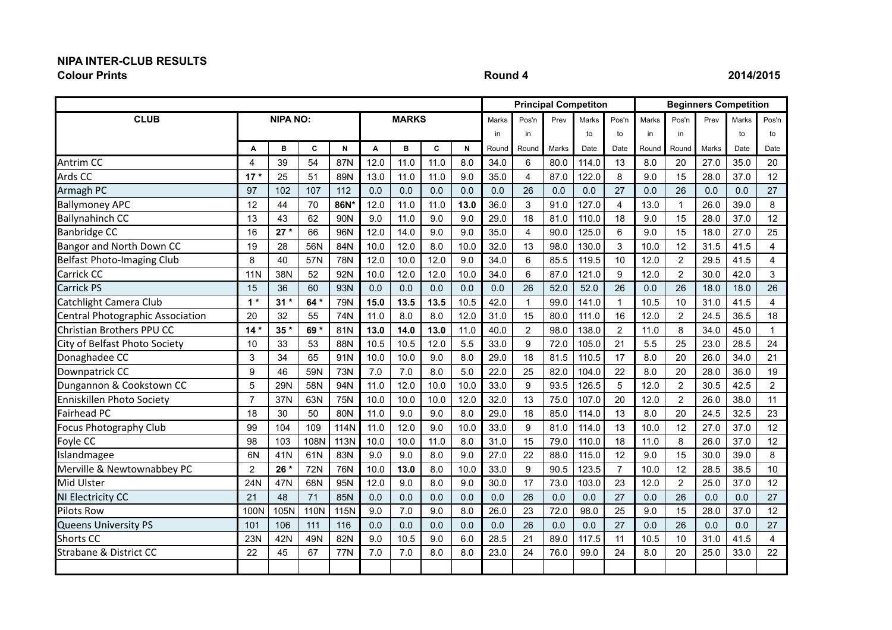# **NIPA INTER-CLUB RESULTS**

**Colour Prints Round 4 2014/2015**

|                                   |                 |                 |                 |            |      |              |      |      |       |                | <b>Principal Competiton</b> |       |                |       | <b>Beginners Competition</b> |       |       |                |
|-----------------------------------|-----------------|-----------------|-----------------|------------|------|--------------|------|------|-------|----------------|-----------------------------|-------|----------------|-------|------------------------------|-------|-------|----------------|
| <b>CLUB</b>                       |                 | <b>NIPA NO:</b> |                 |            |      | <b>MARKS</b> |      |      | Marks | Pos'n          | Prev                        | Marks | Pos'n          | Marks | Pos'n                        | Prev  | Marks | Pos'n          |
|                                   |                 |                 |                 |            |      |              |      |      | in    | in             |                             | to    | to             | in    | in                           |       | to    | to             |
|                                   | A               | в               | C               | N          | A    | в            | C    | N    | Round | Round          | Marks                       | Date  | Date           | Round | Round                        | Marks | Date  | Date           |
| Antrim CC                         | 4               | 39              | 54              | 87N        | 12.0 | 11.0         | 11.0 | 8.0  | 34.0  | 6              | 80.0                        | 114.0 | 13             | 8.0   | 20                           | 27.0  | 35.0  | 20             |
| Ards CC                           | $17*$           | 25              | 51              | 89N        | 13.0 | 11.0         | 11.0 | 9.0  | 35.0  | 4              | 87.0                        | 122.0 | 8              | 9.0   | 15                           | 28.0  | 37.0  | 12             |
| Armagh PC                         | 97              | 102             | 107             | 112        | 0.0  | 0.0          | 0.0  | 0.0  | 0.0   | 26             | 0.0                         | 0.0   | 27             | 0.0   | 26                           | 0.0   | 0.0   | 27             |
| <b>Ballymoney APC</b>             | 12              | 44              | 70              | 86N*       | 12.0 | 11.0         | 11.0 | 13.0 | 36.0  | 3              | 91.0                        | 127.0 | $\overline{4}$ | 13.0  | $\mathbf{1}$                 | 26.0  | 39.0  | 8              |
| <b>Ballynahinch CC</b>            | 13              | 43              | 62              | 90N        | 9.0  | 11.0         | 9.0  | 9.0  | 29.0  | 18             | 81.0                        | 110.0 | 18             | 9.0   | 15                           | 28.0  | 37.0  | 12             |
| <b>Banbridge CC</b>               | 16              | $27 *$          | 66              | 96N        | 12.0 | 14.0         | 9.0  | 9.0  | 35.0  | 4              | 90.0                        | 125.0 | 6              | 9.0   | 15                           | 18.0  | 27.0  | 25             |
| Bangor and North Down CC          | 19              | 28              | 56N             | 84N        | 10.0 | 12.0         | 8.0  | 10.0 | 32.0  | 13             | 98.0                        | 130.0 | 3              | 10.0  | 12                           | 31.5  | 41.5  | 4              |
| <b>Belfast Photo-Imaging Club</b> | 8               | 40              | 57N             | 78N        | 12.0 | 10.0         | 12.0 | 9.0  | 34.0  | $\,6$          | 85.5                        | 119.5 | 10             | 12.0  | $\overline{2}$               | 29.5  | 41.5  | 4              |
| <b>Carrick CC</b>                 | <b>11N</b>      | 38N             | 52              | 92N        | 10.0 | 12.0         | 12.0 | 10.0 | 34.0  | $6\phantom{1}$ | 87.0                        | 121.0 | 9              | 12.0  | $\overline{2}$               | 30.0  | 42.0  | 3              |
| <b>Carrick PS</b>                 | 15              | 36              | 60              | 93N        | 0.0  | 0.0          | 0.0  | 0.0  | 0.0   | 26             | 52.0                        | 52.0  | 26             | 0.0   | 26                           | 18.0  | 18.0  | 26             |
| Catchlight Camera Club            | $1*$            | $31*$           | 64              | <b>79N</b> | 15.0 | 13.5         | 13.5 | 10.5 | 42.0  | $\mathbf{1}$   | 99.0                        | 141.0 | -1             | 10.5  | 10                           | 31.0  | 41.5  | 4              |
| Central Photographic Association  | 20              | 32              | 55              | 74N        | 11.0 | 8.0          | 8.0  | 12.0 | 31.0  | 15             | 80.0                        | 111.0 | 16             | 12.0  | $\overline{2}$               | 24.5  | 36.5  | 18             |
| Christian Brothers PPU CC         | 14 <sup>1</sup> | 35'             | 69 <sup>+</sup> | 81N        | 13.0 | 14.0         | 13.0 | 11.0 | 40.0  | $\overline{2}$ | 98.0                        | 138.0 | 2              | 11.0  | 8                            | 34.0  | 45.0  | $\mathbf{1}$   |
| City of Belfast Photo Society     | 10              | 33              | 53              | 88N        | 10.5 | 10.5         | 12.0 | 5.5  | 33.0  | 9              | 72.0                        | 105.0 | 21             | 5.5   | 25                           | 23.0  | 28.5  | 24             |
| Donaghadee CC                     | 3               | 34              | 65              | 91N        | 10.0 | 10.0         | 9.0  | 8.0  | 29.0  | 18             | 81.5                        | 110.5 | 17             | 8.0   | 20                           | 26.0  | 34.0  | 21             |
| Downpatrick CC                    | 9               | 46              | 59N             | 73N        | 7.0  | 7.0          | 8.0  | 5.0  | 22.0  | 25             | 82.0                        | 104.0 | 22             | 8.0   | 20                           | 28.0  | 36.0  | 19             |
| Dungannon & Cookstown CC          | 5               | <b>29N</b>      | 58N             | 94N        | 11.0 | 12.0         | 10.0 | 10.0 | 33.0  | 9              | 93.5                        | 126.5 | 5              | 12.0  | $\overline{2}$               | 30.5  | 42.5  | $\overline{2}$ |
| Enniskillen Photo Society         | $\overline{7}$  | 37N             | 63N             | 75N        | 10.0 | 10.0         | 10.0 | 12.0 | 32.0  | 13             | 75.0                        | 107.0 | 20             | 12.0  | $\overline{2}$               | 26.0  | 38.0  | 11             |
| <b>Fairhead PC</b>                | 18              | 30              | 50              | 80N        | 11.0 | 9.0          | 9.0  | 8.0  | 29.0  | 18             | 85.0                        | 114.0 | 13             | 8.0   | 20                           | 24.5  | 32.5  | 23             |
| Focus Photography Club            | 99              | 104             | 109             | 114N       | 11.0 | 12.0         | 9.0  | 10.0 | 33.0  | 9              | 81.0                        | 114.0 | 13             | 10.0  | 12                           | 27.0  | 37.0  | 12             |
| Foyle CC                          | 98              | 103             | 108N            | 113N       | 10.0 | 10.0         | 11.0 | 8.0  | 31.0  | 15             | 79.0                        | 110.0 | 18             | 11.0  | 8                            | 26.0  | 37.0  | 12             |
| Islandmagee                       | 6N              | 41N             | 61N             | 83N        | 9.0  | 9.0          | 8.0  | 9.0  | 27.0  | 22             | 88.0                        | 115.0 | 12             | 9.0   | 15                           | 30.0  | 39.0  | 8              |
| Merville & Newtownabbey PC        | $\overline{2}$  | $26*$           | 72N             | 76N        | 10.0 | 13.0         | 8.0  | 10.0 | 33.0  | 9              | 90.5                        | 123.5 | $\overline{7}$ | 10.0  | 12                           | 28.5  | 38.5  | 10             |
| Mid Ulster                        | <b>24N</b>      | 47N             | 68N             | 95N        | 12.0 | 9.0          | 8.0  | 9.0  | 30.0  | 17             | 73.0                        | 103.0 | 23             | 12.0  | $\overline{2}$               | 25.0  | 37.0  | 12             |
| NI Electricity CC                 | 21              | 48              | 71              | 85N        | 0.0  | 0.0          | 0.0  | 0.0  | 0.0   | 26             | 0.0                         | 0.0   | 27             | 0.0   | 26                           | 0.0   | 0.0   | 27             |
| <b>Pilots Row</b>                 | 100N            | 105N            | 110N            | 115N       | 9.0  | 7.0          | 9.0  | 8.0  | 26.0  | 23             | 72.0                        | 98.0  | 25             | 9.0   | 15                           | 28.0  | 37.0  | 12             |
| <b>Queens University PS</b>       | 101             | 106             | 111             | 116        | 0.0  | 0.0          | 0.0  | 0.0  | 0.0   | 26             | 0.0                         | 0.0   | 27             | 0.0   | 26                           | 0.0   | 0.0   | 27             |
| Shorts CC                         | <b>23N</b>      | 42N             | 49N             | 82N        | 9.0  | 10.5         | 9.0  | 6.0  | 28.5  | 21             | 89.0                        | 117.5 | 11             | 10.5  | 10                           | 31.0  | 41.5  | 4              |
| Strabane & District CC            | 22              | 45              | 67              | 77N        | 7.0  | 7.0          | 8.0  | 8.0  | 23.0  | 24             | 76.0                        | 99.0  | 24             | 8.0   | 20                           | 25.0  | 33.0  | 22             |
|                                   |                 |                 |                 |            |      |              |      |      |       |                |                             |       |                |       |                              |       |       |                |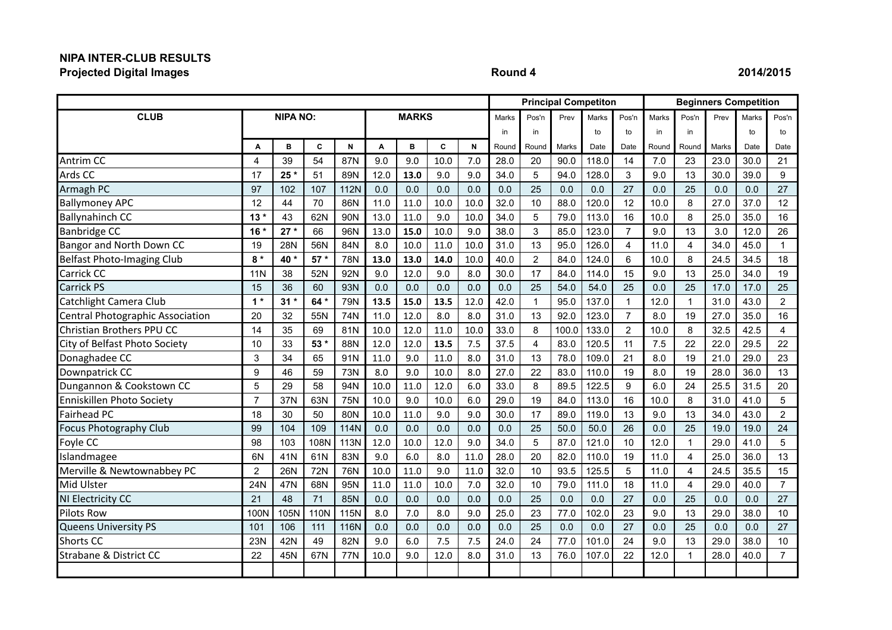## **NIPA INTER-CLUB RESULTS Projected Digital Images Round 4 2014/2015**

|                                   |                 |                 |       |             |      |              |      |      |       | <b>Principal Competiton</b> |       |       |                | <b>Beginners Competition</b> |       |       |       |                |
|-----------------------------------|-----------------|-----------------|-------|-------------|------|--------------|------|------|-------|-----------------------------|-------|-------|----------------|------------------------------|-------|-------|-------|----------------|
| <b>CLUB</b>                       |                 | <b>NIPA NO:</b> |       |             |      | <b>MARKS</b> |      |      | Marks | Pos'n                       | Prev  | Marks | Pos'n          | Marks                        | Pos'n | Prev  | Marks | Pos'n          |
|                                   |                 |                 |       |             |      |              |      |      | in    | in                          |       | to    | to             | in                           | in    |       | to    | to             |
|                                   | A               | B               | C     | N           | A    | B            | C    | N    | Round | Round                       | Marks | Date  | Date           | Round                        | Round | Marks | Date  | Date           |
| Antrim CC                         | 4               | 39              | 54    | 87N         | 9.0  | 9.0          | 10.0 | 7.0  | 28.0  | 20                          | 90.0  | 118.0 | 14             | 7.0                          | 23    | 23.0  | 30.0  | 21             |
| Ards CC                           | 17              | $25*$           | 51    | 89N         | 12.0 | 13.0         | 9.0  | 9.0  | 34.0  | 5                           | 94.0  | 128.0 | 3              | 9.0                          | 13    | 30.0  | 39.0  | 9              |
| Armagh PC                         | 97              | 102             | 107   | <b>112N</b> | 0.0  | 0.0          | 0.0  | 0.0  | 0.0   | 25                          | 0.0   | 0.0   | 27             | 0.0                          | 25    | 0.0   | 0.0   | 27             |
| <b>Ballymoney APC</b>             | 12              | 44              | 70    | 86N         | 11.0 | 11.0         | 10.0 | 10.0 | 32.0  | 10                          | 88.0  | 120.0 | 12             | 10.0                         | 8     | 27.0  | 37.0  | 12             |
| <b>Ballynahinch CC</b>            | $13*$           | 43              | 62N   | 90N         | 13.0 | 11.0         | 9.0  | 10.0 | 34.0  | 5                           | 79.0  | 113.0 | 16             | 10.0                         | 8     | 25.0  | 35.0  | 16             |
| <b>Banbridge CC</b>               | 16 <sup>°</sup> | $27*$           | 66    | 96N         | 13.0 | 15.0         | 10.0 | 9.0  | 38.0  | $\mathsf 3$                 | 85.0  | 123.0 | $\overline{7}$ | 9.0                          | 13    | 3.0   | 12.0  | 26             |
| Bangor and North Down CC          | 19              | 28N             | 56N   | 84N         | 8.0  | 10.0         | 11.0 | 10.0 | 31.0  | 13                          | 95.0  | 126.0 | 4              | 11.0                         | 4     | 34.0  | 45.0  | 1              |
| <b>Belfast Photo-Imaging Club</b> | $8*$            | 40 *            | $57*$ | 78N         | 13.0 | 13.0         | 14.0 | 10.0 | 40.0  | $\overline{2}$              | 84.0  | 124.0 | 6              | 10.0                         | 8     | 24.5  | 34.5  | 18             |
| Carrick CC                        | <b>11N</b>      | 38              | 52N   | 92N         | 9.0  | 12.0         | 9.0  | 8.0  | 30.0  | 17                          | 84.0  | 114.0 | 15             | 9.0                          | 13    | 25.0  | 34.0  | 19             |
| <b>Carrick PS</b>                 | 15              | 36              | 60    | 93N         | 0.0  | 0.0          | 0.0  | 0.0  | 0.0   | 25                          | 54.0  | 54.0  | 25             | 0.0                          | 25    | 17.0  | 17.0  | 25             |
| Catchlight Camera Club            | $1*$            | $31*$           | 64 *  | 79N         | 13.5 | 15.0         | 13.5 | 12.0 | 42.0  | $\mathbf{1}$                | 95.0  | 137.0 | 1              | 12.0                         | 1     | 31.0  | 43.0  | $\overline{2}$ |
| Central Photographic Association  | 20              | 32              | 55N   | 74N         | 11.0 | 12.0         | 8.0  | 8.0  | 31.0  | 13                          | 92.0  | 123.0 | $\overline{7}$ | 8.0                          | 19    | 27.0  | 35.0  | 16             |
| Christian Brothers PPU CC         | 14              | 35              | 69    | 81N         | 10.0 | 12.0         | 11.0 | 10.0 | 33.0  | 8                           | 100.0 | 133.0 | $\overline{2}$ | 10.0                         | 8     | 32.5  | 42.5  | 4              |
| City of Belfast Photo Society     | 10              | 33              | 53 *  | 88N         | 12.0 | 12.0         | 13.5 | 7.5  | 37.5  | 4                           | 83.0  | 120.5 | 11             | 7.5                          | 22    | 22.0  | 29.5  | 22             |
| Donaghadee CC                     | 3               | 34              | 65    | 91N         | 11.0 | 9.0          | 11.0 | 8.0  | 31.0  | 13                          | 78.0  | 109.0 | 21             | 8.0                          | 19    | 21.0  | 29.0  | 23             |
| Downpatrick CC                    | 9               | 46              | 59    | 73N         | 8.0  | 9.0          | 10.0 | 8.0  | 27.0  | 22                          | 83.0  | 110.0 | 19             | 8.0                          | 19    | 28.0  | 36.0  | 13             |
| Dungannon & Cookstown CC          | 5               | 29              | 58    | 94N         | 10.0 | 11.0         | 12.0 | 6.0  | 33.0  | 8                           | 89.5  | 122.5 | 9              | 6.0                          | 24    | 25.5  | 31.5  | 20             |
| Enniskillen Photo Society         | $\overline{7}$  | 37N             | 63N   | 75N         | 10.0 | 9.0          | 10.0 | 6.0  | 29.0  | 19                          | 84.0  | 113.0 | 16             | 10.0                         | 8     | 31.0  | 41.0  | 5              |
| Fairhead PC                       | 18              | 30              | 50    | 80N         | 10.0 | 11.0         | 9.0  | 9.0  | 30.0  | 17                          | 89.0  | 119.0 | 13             | 9.0                          | 13    | 34.0  | 43.0  | $\overline{2}$ |
| <b>Focus Photography Club</b>     | 99              | 104             | 109   | <b>114N</b> | 0.0  | 0.0          | 0.0  | 0.0  | 0.0   | 25                          | 50.0  | 50.0  | 26             | 0.0                          | 25    | 19.0  | 19.0  | 24             |
| Foyle CC                          | 98              | 103             | 108N  | 113N        | 12.0 | 10.0         | 12.0 | 9.0  | 34.0  | 5                           | 87.0  | 121.0 | 10             | 12.0                         | 1     | 29.0  | 41.0  | 5              |
| Islandmagee                       | 6N              | 41N             | 61N   | 83N         | 9.0  | 6.0          | 8.0  | 11.0 | 28.0  | 20                          | 82.0  | 110.0 | 19             | 11.0                         | 4     | 25.0  | 36.0  | 13             |
| Merville & Newtownabbey PC        | $\overline{2}$  | 26N             | 72N   | 76N         | 10.0 | 11.0         | 9.0  | 11.0 | 32.0  | 10                          | 93.5  | 125.5 | 5              | 11.0                         | 4     | 24.5  | 35.5  | 15             |
| Mid Ulster                        | 24N             | 47N             | 68N   | 95N         | 11.0 | 11.0         | 10.0 | 7.0  | 32.0  | 10                          | 79.0  | 111.0 | 18             | 11.0                         | 4     | 29.0  | 40.0  | $\overline{7}$ |
| NI Electricity CC                 | 21              | 48              | 71    | 85N         | 0.0  | 0.0          | 0.0  | 0.0  | 0.0   | 25                          | 0.0   | 0.0   | 27             | 0.0                          | 25    | 0.0   | 0.0   | 27             |
| <b>Pilots Row</b>                 | 100N            | 105N            | 110N  | 115N        | 8.0  | 7.0          | 8.0  | 9.0  | 25.0  | 23                          | 77.0  | 102.0 | 23             | 9.0                          | 13    | 29.0  | 38.0  | 10             |
| <b>Queens University PS</b>       | 101             | 106             | 111   | 116N        | 0.0  | 0.0          | 0.0  | 0.0  | 0.0   | 25                          | 0.0   | 0.0   | 27             | 0.0                          | 25    | 0.0   | 0.0   | 27             |
| <b>Shorts CC</b>                  | 23N             | 42N             | 49    | 82N         | 9.0  | 6.0          | 7.5  | 7.5  | 24.0  | 24                          | 77.0  | 101.0 | 24             | 9.0                          | 13    | 29.0  | 38.0  | 10             |
| <b>Strabane &amp; District CC</b> | 22              | 45N             | 67N   | 77N         | 10.0 | 9.0          | 12.0 | 8.0  | 31.0  | 13                          | 76.0  | 107.0 | 22             | 12.0                         |       | 28.0  | 40.0  | $\overline{7}$ |
|                                   |                 |                 |       |             |      |              |      |      |       |                             |       |       |                |                              |       |       |       |                |